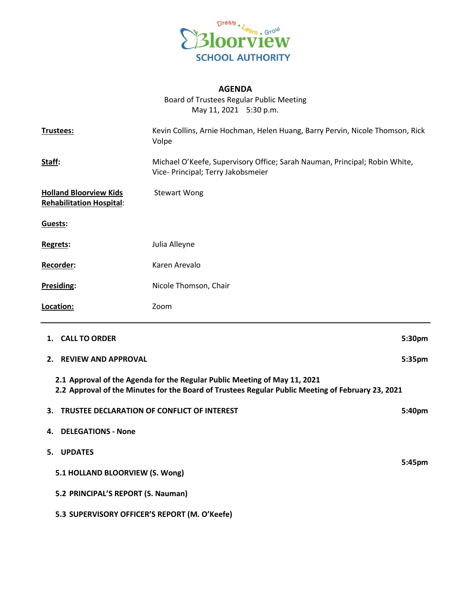

## **AGENDA**

Board of Trustees Regular Public Meeting May 11, 2021 5:30 p.m.

| Trustees:                                                        | Kevin Collins, Arnie Hochman, Helen Huang, Barry Pervin, Nicole Thomson, Rick<br>Volpe<br>Michael O'Keefe, Supervisory Office; Sarah Nauman, Principal; Robin White,<br>Vice- Principal; Terry Jakobsmeier |        |
|------------------------------------------------------------------|------------------------------------------------------------------------------------------------------------------------------------------------------------------------------------------------------------|--------|
| Staff:                                                           |                                                                                                                                                                                                            |        |
| <b>Holland Bloorview Kids</b><br><b>Rehabilitation Hospital:</b> | <b>Stewart Wong</b>                                                                                                                                                                                        |        |
| Guests:                                                          |                                                                                                                                                                                                            |        |
| Regrets:                                                         | Julia Alleyne                                                                                                                                                                                              |        |
| Recorder:                                                        | Karen Arevalo                                                                                                                                                                                              |        |
| Presiding:                                                       | Nicole Thomson, Chair                                                                                                                                                                                      |        |
| Location:                                                        | Zoom                                                                                                                                                                                                       |        |
| 1. CALL TO ORDER                                                 |                                                                                                                                                                                                            | 5:30pm |
| <b>REVIEW AND APPROVAL</b><br>2.                                 |                                                                                                                                                                                                            | 5:35pm |
|                                                                  | 2.1 Approval of the Agenda for the Regular Public Meeting of May 11, 2021<br>2.2 Approval of the Minutes for the Board of Trustees Regular Public Meeting of February 23, 2021                             |        |
| TRUSTEE DECLARATION OF CONFLICT OF INTEREST<br>3.                |                                                                                                                                                                                                            | 5:40pm |
| <b>DELEGATIONS - None</b><br>4.                                  |                                                                                                                                                                                                            |        |
| <b>UPDATES</b><br>5.                                             |                                                                                                                                                                                                            |        |
| 5.1 HOLLAND BLOORVIEW (S. Wong)                                  |                                                                                                                                                                                                            | 5:45pm |

**5.2 PRINCIPAL'S REPORT (S. Nauman)**

**5.3 SUPERVISORY OFFICER'S REPORT (M. O'Keefe)**